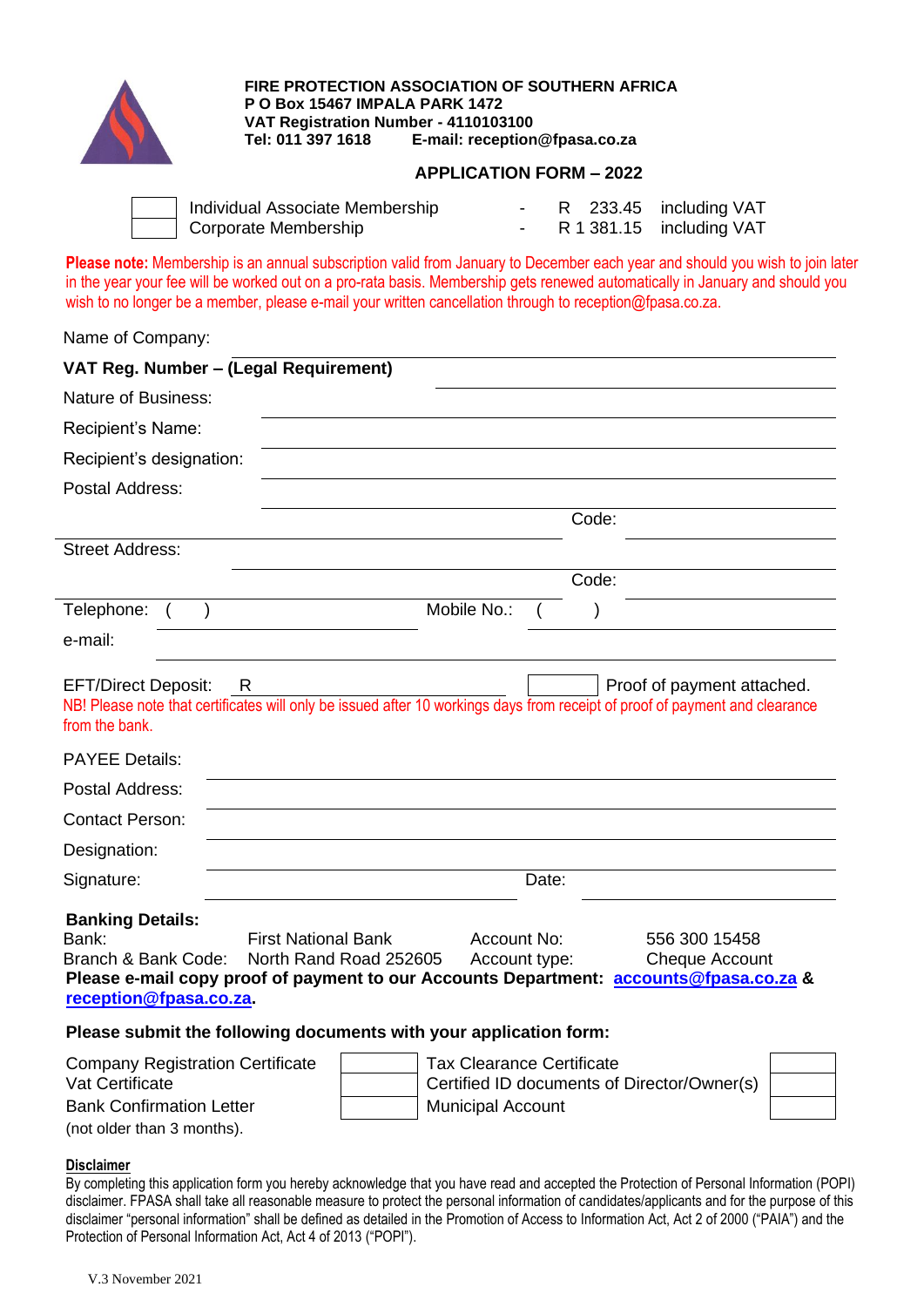

**FIRE PROTECTION ASSOCIATION OF SOUTHERN AFRICA P O Box 15467 IMPALA PARK 1472 VAT Registration Number - 4110103100 Tel: 011 397 1618 E-mail: [reception@fpasa.co.za](mailto:reception@fpasa.co.za)**

## **APPLICATION FORM – 2022**

| Individual Associate Membership |  | R 233.45 including VAT   |
|---------------------------------|--|--------------------------|
| Corporate Membership            |  | R 1 381.15 including VAT |

**Please note:** Membership is an annual subscription valid from January to December each year and should you wish to join later in the year your fee will be worked out on a pro-rata basis. Membership gets renewed automatically in January and should you wish to no longer be a member, please e-mail your written cancellation through to reception@fpasa.co.za.

Name of Company:

| VAT Reg. Number - (Legal Requirement)                                                                                                                                                                          |                                                                                                                                                                  |
|----------------------------------------------------------------------------------------------------------------------------------------------------------------------------------------------------------------|------------------------------------------------------------------------------------------------------------------------------------------------------------------|
| <b>Nature of Business:</b>                                                                                                                                                                                     |                                                                                                                                                                  |
| Recipient's Name:                                                                                                                                                                                              |                                                                                                                                                                  |
| Recipient's designation:                                                                                                                                                                                       |                                                                                                                                                                  |
| Postal Address:                                                                                                                                                                                                |                                                                                                                                                                  |
|                                                                                                                                                                                                                | Code:                                                                                                                                                            |
| <b>Street Address:</b>                                                                                                                                                                                         |                                                                                                                                                                  |
|                                                                                                                                                                                                                | Code:                                                                                                                                                            |
| Telephone:                                                                                                                                                                                                     | Mobile No.:                                                                                                                                                      |
| e-mail:                                                                                                                                                                                                        |                                                                                                                                                                  |
| from the bank.<br><b>PAYEE Details:</b><br>Postal Address:<br><b>Contact Person:</b><br>Designation:                                                                                                           | NB! Please note that certificates will only be issued after 10 workings days from receipt of proof of payment and clearance                                      |
| Signature:                                                                                                                                                                                                     | Date:                                                                                                                                                            |
| <b>Banking Details:</b><br>Bank:<br><b>First National Bank</b><br>North Rand Road 252605<br>Branch & Bank Code:<br>reception@fpasa.co.za.<br>Please submit the following documents with your application form: | Account No:<br>556 300 15458<br>Account type:<br><b>Cheque Account</b><br>Please e-mail copy proof of payment to our Accounts Department: accounts@fpasa.co.za & |
| <b>Company Registration Certificate</b>                                                                                                                                                                        | <b>Tax Clearance Certificate</b>                                                                                                                                 |
| Vat Certificate                                                                                                                                                                                                | Certified ID documents of Director/Owner(s)                                                                                                                      |
| <b>Bank Confirmation Letter</b>                                                                                                                                                                                | <b>Municipal Account</b>                                                                                                                                         |

**Disclaimer** By completing this application form you hereby acknowledge that you have read and accepted the Protection of Personal Information (POPI) disclaimer. FPASA shall take all reasonable measure to protect the personal information of candidates/applicants and for the purpose of this disclaimer "personal information" shall be defined as detailed in the Promotion of Access to Information Act, Act 2 of 2000 ("PAIA") and the Protection of Personal Information Act, Act 4 of 2013 ("POPI").

(not older than 3 months).